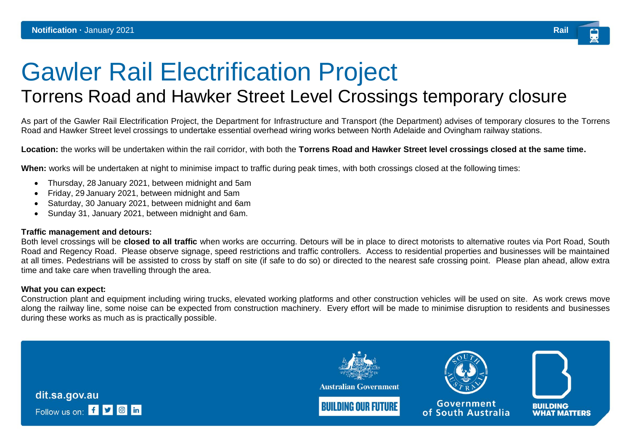## Gawler Rail Electrification Project

## Torrens Road and Hawker Street Level Crossings temporary closure

As part of the Gawler Rail Electrification Project, the Department for Infrastructure and Transport (the Department) advises of temporary closures to the Torrens Road and Hawker Street level crossings to undertake essential overhead wiring works between North Adelaide and Ovingham railway stations.

**Location:** the works will be undertaken within the rail corridor, with both the **Torrens Road and Hawker Street level crossings closed at the same time.**

**When:** works will be undertaken at night to minimise impact to traffic during peak times, with both crossings closed at the following times:

- Thursday, 28 January 2021, between midnight and 5am
- Friday, 29 January 2021, between midnight and 5am
- Saturday, 30 January 2021, between midnight and 6am
- Sunday 31, January 2021, between midnight and 6am.

## **Traffic management and detours:**

Both level crossings will be **closed to all traffic** when works are occurring. Detours will be in place to direct motorists to alternative routes via Port Road, South Road and Regency Road. Please observe signage, speed restrictions and traffic controllers. Access to residential properties and businesses will be maintained at all times. Pedestrians will be assisted to cross by staff on site (if safe to do so) or directed to the nearest safe crossing point. Please plan ahead, allow extra time and take care when travelling through the area.

## **What you can expect:**

Construction plant and equipment including wiring trucks, elevated working platforms and other construction vehicles will be used on site. As work crews move along the railway line, some noise can be expected from construction machinery. Every effort will be made to minimise disruption to residents and businesses during these works as much as is practically possible.